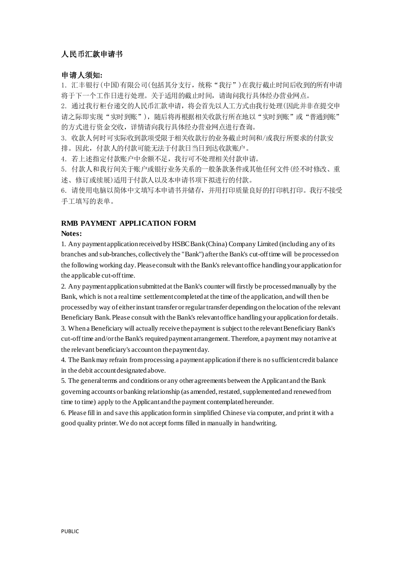# 人民币汇款申请书

## 申请人须知**:**

1. 汇丰银行(中国)有限公司(包括其分支行,统称"我行")在我行截止时间后收到的所有申请 将于下一个工作日进行处理。关于适用的截止时间,请询问我行具体经办营业网点。

2. 通过我行柜台递交的人民币汇款申请,将会首先以人工方式由我行处理(因此并非在提交申 请之际即实现"实时到账"),随后将再根据相关收款行所在地以"实时到账"或"普通到账" 的方式进行资金交收,详情请向我行具体经办营业网点进行查询。

3. 收款人何时可实际收到款项受限于相关收款行的业务截止时间和/或我行所要求的付款安 排。因此,付款人的付款可能无法于付款日当日到达收款账户。

4. 若上述指定付款账户中余额不足,我行可不处理相关付款申请。

5. 付款人和我行间关于账户或银行业务关系的一般条款条件或其他任何文件(经不时修改、重 述、修订或续展)适用于付款人以及本申请书项下拟进行的付款。

6. 请使用电脑以简体中文填写本申请书并储存,并用打印质量良好的打印机打印。我行不接受 手工填写的表单。

## **RMB PAYMENT APPLICATION FORM**

#### **Notes:**

1. Any payment application received by HSBC Bank (China) Company Limited (including any of its branches and sub-branches, collectively the "Bank") after the Bank's cut-off time will be processed on the following working day. Please consult with the Bank's relevant office handling your application for the applicable cut-off time.

2. Any payment application submitted at the Bank's counter will firstly be processed manually by the Bank, which is not a real time settlement completed at the time of the application, and will then be processed by way of either instant transfer or regular transfer depending on the location of the relevant Beneficiary Bank. Please consult with the Bank's relevant office handling your application for details.

3. When a Beneficiary will actually receive the payment is subject to the relevant Beneficiary Bank's cut-off time and/or the Bank's required payment arrangement. Therefore, a payment may not arrive at the relevant beneficiary's account on the payment day.

4. The Bank may refrain from processing a payment application if there is no sufficient credit balance in the debit account designated above.

5. The general terms and conditions or any other agreements between the Applicant and the Bank governing accounts or banking relationship (as amended, restated, supplemented and renewed from time to time) apply to the Applicant and the payment contemplated hereunder.

6. Please fill in and save this application form in simplified Chinese via computer, and print it with a good quality printer. We do not accept forms filled in manually in handwriting.